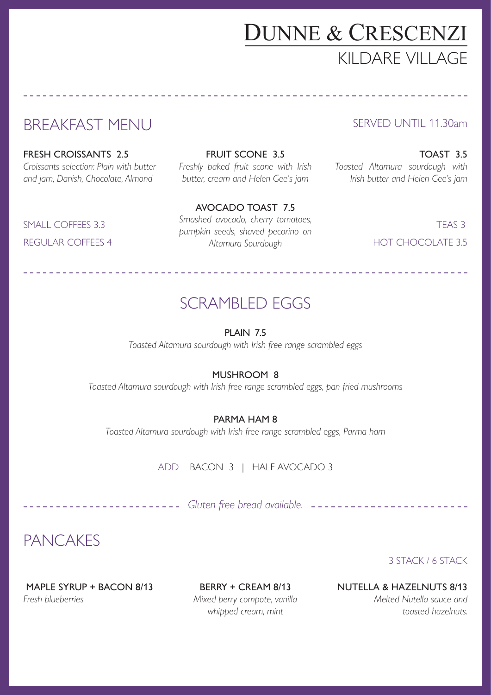## DUNNE & CRESCENZI KILDARE VILLAGE

## BREAKFAST MENU

FRESH CROISSANTS 2.5 *Croissants selection: Plain with butter and jam, Danish, Chocolate, Almond*

FRUIT SCONE 3.5 *Freshly baked fruit scone with Irish butter, cream and Helen Gee's jam* 

TOAST 3.5 *Toasted Altamura sourdough with* 

SERVED UNTIL 11.30am

*Irish butter and Helen Gee's jam*

SMALL COFFEES 3.3 REGULAR COFFEES 4

AVOCADO TOAST 7.5 *Smashed avocado, cherry tomatoes, pumpkin seeds, shaved pecorino on Altamura Sourdough*

TEAS 3 HOT CHOCOLATE 3.5

#### SCRAMBLED EGGS

PLAIN 7.5

*Toasted Altamura sourdough with Irish free range scrambled eggs*

#### MUSHROOM 8

*Toasted Altamura sourdough with Irish free range scrambled eggs, pan fried mushrooms*

#### PARMA HAM 8

*Toasted Altamura sourdough with Irish free range scrambled eggs, Parma ham*

ADD BACON 3 | HALF AVOCADO 3

*Gluten free bread available.*

PANCAKES

3 STACK / 6 STACK

MAPLE SYRUP + BACON 8/13 *Fresh blueberries*

BERRY + CREAM 8/13 *Mixed berry compote, vanilla whipped cream, mint*

NUTELLA & HAZELNUTS 8/13

*Melted Nutella sauce and toasted hazelnuts.*